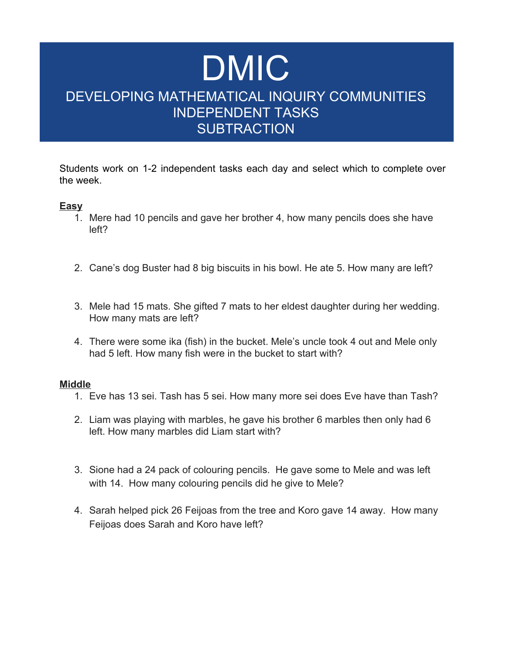# DMIC DEVELOPING MATHEMATICAL INQUIRY COMMUNITIES INDEPENDENT TASKS **SUBTRACTION**

Students work on 1-2 independent tasks each day and select which to complete over the week.

### **Easy**

- 1. Mere had 10 pencils and gave her brother 4, how many pencils does she have left?
- 2. Cane's dog Buster had 8 big biscuits in his bowl. He ate 5. How many are left?
- 3. Mele had 15 mats. She gifted 7 mats to her eldest daughter during her wedding. How many mats are left?
- 4. There were some ika (fish) in the bucket. Mele's uncle took 4 out and Mele only had 5 left. How many fish were in the bucket to start with?

#### **Middle**

- 1. Eve has 13 sei. Tash has 5 sei. How many more sei does Eve have than Tash?
- 2. Liam was playing with marbles, he gave his brother 6 marbles then only had 6 left. How many marbles did Liam start with?
- 3. Sione had a 24 pack of colouring pencils. He gave some to Mele and was left with 14. How many colouring pencils did he give to Mele?
- 4. Sarah helped pick 26 Feijoas from the tree and Koro gave 14 away. How many Feijoas does Sarah and Koro have left?